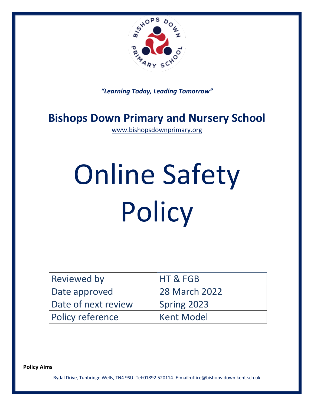

*"Learning Today, Leading Tomorrow"*

# **Bishops Down Primary and Nursery School**

[www.bishopsdownprimary.org](http://www.bishopsdownprimary.org/)

# Online Safety **Policy**

| <b>Reviewed by</b>      | HT & FGB          |
|-------------------------|-------------------|
| Date approved           | 28 March 2022     |
| Date of next review     | Spring 2023       |
| <b>Policy reference</b> | <b>Kent Model</b> |

**Policy Aims**

Rydal Drive, Tunbridge Wells, TN4 9SU. Tel:01892 520114. E-mail:office@bishops-down.kent.sch.uk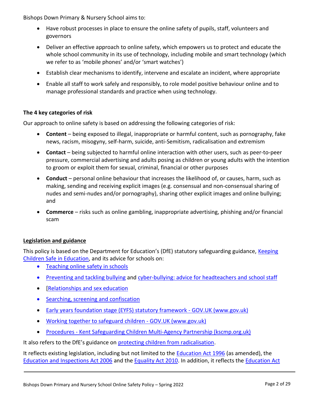Bishops Down Primary & Nursery School aims to:

- Have robust processes in place to ensure the online safety of pupils, staff, volunteers and governors
- Deliver an effective approach to online safety, which empowers us to protect and educate the whole school community in its use of technology, including mobile and smart technology (which we refer to as 'mobile phones' and/or 'smart watches')
- Establish clear mechanisms to identify, intervene and escalate an incident, where appropriate
- Enable all staff to work safely and responsibly, to role model positive behaviour online and to manage professional standards and practice when using technology.

# **The 4 key categories of risk**

Our approach to online safety is based on addressing the following categories of risk:

- **Content** being exposed to illegal, inappropriate or harmful content, such as pornography, fake news, racism, misogyny, self-harm, suicide, anti-Semitism, radicalisation and extremism
- **Contact** being subjected to harmful online interaction with other users, such as peer-to-peer pressure, commercial advertising and adults posing as children or young adults with the intention to groom or exploit them for sexual, criminal, financial or other purposes
- **Conduct** personal online behaviour that increases the likelihood of, or causes, harm, such as making, sending and receiving explicit images (e.g. consensual and non-consensual sharing of nudes and semi-nudes and/or pornography), sharing other explicit images and online bullying; and
- **Commerce** risks such as online gambling, inappropriate advertising, phishing and/or financial scam

# **Legislation and guidance**

This policy is based on the Department for Education's (DfE) statutory safeguarding guidance, [Keeping](https://www.gov.uk/government/publications/keeping-children-safe-in-education--2)  [Children Safe in Education,](https://www.gov.uk/government/publications/keeping-children-safe-in-education--2) and its advice for schools on:

- [Teaching online safety in schools](https://www.gov.uk/government/publications/teaching-online-safety-in-schools)
- [Preventing and tackling bullying](https://www.gov.uk/government/publications/preventing-and-tackling-bullying) and [cyber-bullying: advice for headteachers and school staff](https://www.gov.uk/government/publications/preventing-and-tackling-bullying)
- **Relationships and sex education**
- [Searching, screening and confiscation](https://www.gov.uk/government/publications/searching-screening-and-confiscation)
- [Early years foundation stage \(EYFS\) statutory framework -](https://www.gov.uk/government/publications/early-years-foundation-stage-framework--2) GOV.UK (www.gov.uk)
- [Working together to safeguard children -](https://www.gov.uk/government/publications/working-together-to-safeguard-children--2) GOV.UK (www.gov.uk)
- Procedures [Kent Safeguarding Children Multi-Agency Partnership \(kscmp.org.uk\)](https://www.kscmp.org.uk/procedures)

It also refers to the DfE's guidance on [protecting children from radicalisation.](https://www.gov.uk/government/publications/protecting-children-from-radicalisation-the-prevent-duty)

It reflects existing legislation, including but not limited to the [Education Act 1996](https://www.legislation.gov.uk/ukpga/1996/56/contents) (as amended), the [Education and Inspections Act 2006](https://www.legislation.gov.uk/ukpga/2006/40/contents) and the [Equality Act 2010.](https://www.legislation.gov.uk/ukpga/2010/15/contents) In addition, it reflects the [Education Act](http://www.legislation.gov.uk/ukpga/2011/21/contents/enacted)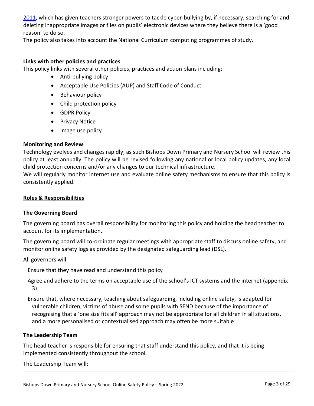[2011,](http://www.legislation.gov.uk/ukpga/2011/21/contents/enacted) which has given teachers stronger powers to tackle cyber-bullying by, if necessary, searching for and deleting inappropriate images or files on pupils' electronic devices where they believe there is a 'good reason' to do so.

The policy also takes into account the National Curriculum computing programmes of study.

#### **Links with other policies and practices**

This policy links with several other policies, practices and action plans including:

- Anti-bullying policy
- Acceptable Use Policies (AUP) and Staff Code of Conduct
- Behaviour policy
- Child protection policy
- GDPR Policy
- Privacy Notice
- Image use policy

#### **Monitoring and Review**

Technology evolves and changes rapidly; as such Bishops Down Primary and Nursery School will review this policy at least annually. The policy will be revised following any national or local policy updates, any local child protection concerns and/or any changes to our technical infrastructure.

We will regularly monitor internet use and evaluate online safety mechanisms to ensure that this policy is consistently applied.

#### **Roles & Responsibilities**

# **The Governing Board**

The governing board has overall responsibility for monitoring this policy and holding the head teacher to account for its implementation.

The governing board will co-ordinate regular meetings with appropriate staff to discuss online safety, and monitor online safety logs as provided by the designated safeguarding lead (DSL).

All governors will:

Ensure that they have read and understand this policy

Agree and adhere to the terms on acceptable use of the school's ICT systems and the internet (appendix 3)

Ensure that, where necessary, teaching about safeguarding, including online safety, is adapted for vulnerable children, victims of abuse and some pupils with SEND because of the importance of recognising that a 'one size fits all' approach may not be appropriate for all children in all situations, and a more personalised or contextualised approach may often be more suitable

# **The Leadership Team**

The head teacher is responsible for ensuring that staff understand this policy, and that it is being implemented consistently throughout the school.

The Leadership Team will: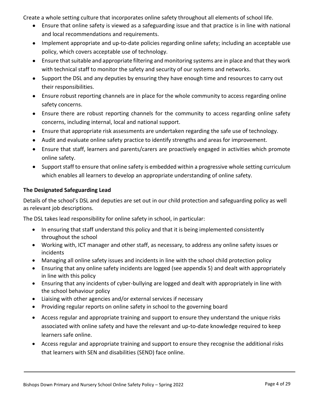Create a whole setting culture that incorporates online safety throughout all elements of school life.

- Ensure that online safety is viewed as a safeguarding issue and that practice is in line with national and local recommendations and requirements.
- Implement appropriate and up-to-date policies regarding online safety; including an acceptable use policy, which covers acceptable use of technology.
- Ensure that suitable and appropriate filtering and monitoring systems are in place and that they work with technical staff to monitor the safety and security of our systems and networks.
- Support the DSL and any deputies by ensuring they have enough time and resources to carry out their responsibilities.
- Ensure robust reporting channels are in place for the whole community to access regarding online safety concerns.
- Ensure there are robust reporting channels for the community to access regarding online safety concerns, including internal, local and national support.
- Ensure that appropriate risk assessments are undertaken regarding the safe use of technology.
- Audit and evaluate online safety practice to identify strengths and areas for improvement.
- Ensure that staff, learners and parents/carers are proactively engaged in activities which promote online safety.
- Support staff to ensure that online safety is embedded within a progressive whole setting curriculum which enables all learners to develop an appropriate understanding of online safety.

# **The Designated Safeguarding Lead**

Details of the school's DSL and deputies are set out in our child protection and safeguarding policy as well as relevant job descriptions.

The DSL takes lead responsibility for online safety in school, in particular:

- In ensuring that staff understand this policy and that it is being implemented consistently throughout the school
- Working with, ICT manager and other staff, as necessary, to address any online safety issues or incidents
- Managing all online safety issues and incidents in line with the school child protection policy
- Ensuring that any online safety incidents are logged (see appendix 5) and dealt with appropriately in line with this policy
- Ensuring that any incidents of cyber-bullying are logged and dealt with appropriately in line with the school behaviour policy
- Liaising with other agencies and/or external services if necessary
- Providing regular reports on online safety in school to the governing board
- Access regular and appropriate training and support to ensure they understand the unique risks associated with online safety and have the relevant and up-to-date knowledge required to keep learners safe online.
- Access regular and appropriate training and support to ensure they recognise the additional risks that learners with SEN and disabilities (SEND) face online.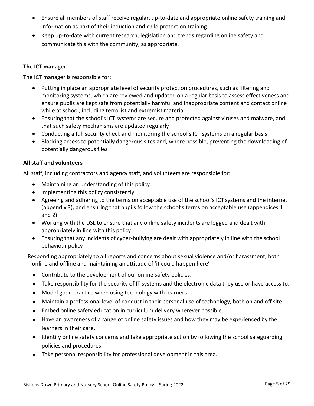- Ensure all members of staff receive regular, up-to-date and appropriate online safety training and information as part of their induction and child protection training.
- Keep up-to-date with current research, legislation and trends regarding online safety and communicate this with the community, as appropriate.

# **The ICT manager**

The ICT manager is responsible for:

- Putting in place an appropriate level of security protection procedures, such as filtering and monitoring systems, which are reviewed and updated on a regular basis to assess effectiveness and ensure pupils are kept safe from potentially harmful and inappropriate content and contact online while at school, including terrorist and extremist material
- Ensuring that the school's ICT systems are secure and protected against viruses and malware, and that such safety mechanisms are updated regularly
- Conducting a full security check and monitoring the school's ICT systems on a regular basis
- Blocking access to potentially dangerous sites and, where possible, preventing the downloading of potentially dangerous files

# **All staff and volunteers**

All staff, including contractors and agency staff, and volunteers are responsible for:

- Maintaining an understanding of this policy
- Implementing this policy consistently
- Agreeing and adhering to the terms on acceptable use of the school's ICT systems and the internet (appendix 3), and ensuring that pupils follow the school's terms on acceptable use (appendices 1 and 2)
- Working with the DSL to ensure that any online safety incidents are logged and dealt with appropriately in line with this policy
- Ensuring that any incidents of cyber-bullying are dealt with appropriately in line with the school behaviour policy

Responding appropriately to all reports and concerns about sexual violence and/or harassment, both online and offline and maintaining an attitude of 'it could happen here'

- Contribute to the development of our online safety policies.
- Take responsibility for the security of IT systems and the electronic data they use or have access to.
- Model good practice when using technology with learners
- Maintain a professional level of conduct in their personal use of technology, both on and off site.
- Embed online safety education in curriculum delivery wherever possible.
- Have an awareness of a range of online safety issues and how they may be experienced by the learners in their care.
- Identify online safety concerns and take appropriate action by following the school safeguarding policies and procedures.
- Take personal responsibility for professional development in this area.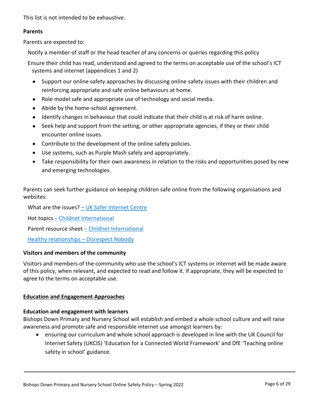This list is not intended to be exhaustive.

#### **Parents**

Parents are expected to:

Notify a member of staff or the head teacher of any concerns or queries regarding this policy

- Ensure their child has read, understood and agreed to the terms on acceptable use of the school's ICT systems and internet (appendices 1 and 2)
	- Support our online safety approaches by discussing online safety issues with their children and reinforcing appropriate and safe online behaviours at home.
	- Role model safe and appropriate use of technology and social media.
	- Abide by the home-school agreement.
	- Identify changes in behaviour that could indicate that their child is at risk of harm online.
	- Seek help and support from the setting, or other appropriate agencies, if they or their child encounter online issues.
	- Contribute to the development of the online safety policies.
	- Use systems, such as Purple Mash safely and appropriately.
	- Take responsibility for their own awareness in relation to the risks and opportunities posed by new and emerging technologies.

Parents can seek further guidance on keeping children safe online from the following organisations and websites:

What are the issues?  $-$  [UK Safer Internet Centre](https://www.saferinternet.org.uk/advice-centre/parents-and-carers/what-are-issues)

Hot topics – [Childnet International](http://www.childnet.com/parents-and-carers/hot-topics)

Parent resource sheet – [Childnet International](https://www.childnet.com/resources/parents-and-carers-resource-sheet)

Healthy relationships – [Disrespect Nobody](https://www.disrespectnobody.co.uk/)

# **Visitors and members of the community**

Visitors and members of the community who use the school's ICT systems or internet will be made aware of this policy, when relevant, and expected to read and follow it. If appropriate, they will be expected to agree to the terms on acceptable use.

# **Education and Engagement Approaches**

# **Education and engagement with learners**

Bishops Down Primary and Nursery School will establish and embed a whole school culture and will raise awareness and promote safe and responsible internet use amongst learners by:

 ensuring our curriculum and whole school approach is developed in line with the UK Council for Internet Safety (UKCIS) 'Education for a Connected World Framework' and DfE 'Teaching online safety in school' guidance.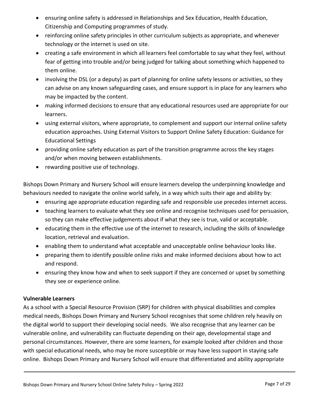- ensuring online safety is addressed in Relationships and Sex Education, Health Education, Citizenship and Computing programmes of study.
- reinforcing online safety principles in other curriculum subjects as appropriate, and whenever technology or the internet is used on site.
- creating a safe environment in which all learners feel comfortable to say what they feel, without fear of getting into trouble and/or being judged for talking about something which happened to them online.
- involving the DSL (or a deputy) as part of planning for online safety lessons or activities, so they can advise on any known safeguarding cases, and ensure support is in place for any learners who may be impacted by the content.
- making informed decisions to ensure that any educational resources used are appropriate for our learners.
- using external visitors, where appropriate, to complement and support our internal online safety education approaches. Using External Visitors to Support Online Safety Education: Guidance for Educational Settings
- providing online safety education as part of the transition programme across the key stages and/or when moving between establishments.
- rewarding positive use of technology.

Bishops Down Primary and Nursery School will ensure learners develop the underpinning knowledge and behaviours needed to navigate the online world safely, in a way which suits their age and ability by:

- ensuring age appropriate education regarding safe and responsible use precedes internet access.
- teaching learners to evaluate what they see online and recognise techniques used for persuasion, so they can make effective judgements about if what they see is true, valid or acceptable.
- educating them in the effective use of the internet to research, including the skills of knowledge location, retrieval and evaluation.
- enabling them to understand what acceptable and unacceptable online behaviour looks like.
- preparing them to identify possible online risks and make informed decisions about how to act and respond.
- ensuring they know how and when to seek support if they are concerned or upset by something they see or experience online.

# **Vulnerable Learners**

As a school with a Special Resource Provision (SRP) for children with physical disabilities and complex medical needs, Bishops Down Primary and Nursery School recognises that some children rely heavily on the digital world to support their developing social needs. We also recognise that any learner can be vulnerable online, and vulnerability can fluctuate depending on their age, developmental stage and personal circumstances. However, there are some learners, for example looked after children and those with special educational needs, who may be more susceptible or may have less support in staying safe online. Bishops Down Primary and Nursery School will ensure that differentiated and ability appropriate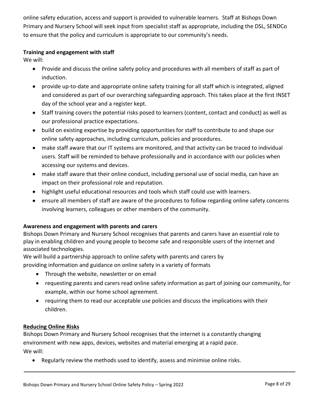online safety education, access and support is provided to vulnerable learners. Staff at Bishops Down Primary and Nursery School will seek input from specialist staff as appropriate, including the DSL, SENDCo to ensure that the policy and curriculum is appropriate to our community's needs.

# **Training and engagement with staff**

We will:

- Provide and discuss the online safety policy and procedures with all members of staff as part of induction.
- provide up-to-date and appropriate online safety training for all staff which is integrated, aligned and considered as part of our overarching safeguarding approach. This takes place at the first INSET day of the school year and a register kept.
- Staff training covers the potential risks posed to learners (content, contact and conduct) as well as our professional practice expectations.
- build on existing expertise by providing opportunities for staff to contribute to and shape our online safety approaches, including curriculum, policies and procedures.
- make staff aware that our IT systems are monitored, and that activity can be traced to individual users. Staff will be reminded to behave professionally and in accordance with our policies when accessing our systems and devices.
- make staff aware that their online conduct, including personal use of social media, can have an impact on their professional role and reputation.
- highlight useful educational resources and tools which staff could use with learners.
- ensure all members of staff are aware of the procedures to follow regarding online safety concerns involving learners, colleagues or other members of the community.

# **Awareness and engagement with parents and carers**

Bishops Down Primary and Nursery School recognises that parents and carers have an essential role to play in enabling children and young people to become safe and responsible users of the internet and associated technologies.

We will build a partnership approach to online safety with parents and carers by

providing information and guidance on online safety in a variety of formats

- Through the website, newsletter or on email
- requesting parents and carers read online safety information as part of joining our community, for example, within our home school agreement.
- requiring them to read our acceptable use policies and discuss the implications with their children.

# **Reducing Online Risks**

Bishops Down Primary and Nursery School recognises that the internet is a constantly changing environment with new apps, devices, websites and material emerging at a rapid pace. We will:

Regularly review the methods used to identify, assess and minimise online risks.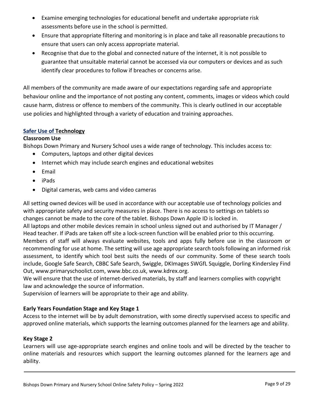- Examine emerging technologies for educational benefit and undertake appropriate risk assessments before use in the school is permitted.
- Ensure that appropriate filtering and monitoring is in place and take all reasonable precautions to ensure that users can only access appropriate material.
- Recognise that due to the global and connected nature of the internet, it is not possible to guarantee that unsuitable material cannot be accessed via our computers or devices and as such identify clear procedures to follow if breaches or concerns arise.

All members of the community are made aware of our expectations regarding safe and appropriate behaviour online and the importance of not posting any content, comments, images or videos which could cause harm, distress or offence to members of the community. This is clearly outlined in our acceptable use policies and highlighted through a variety of education and training approaches.

#### **Safer Use of Technology**

#### **Classroom Use**

Bishops Down Primary and Nursery School uses a wide range of technology. This includes access to:

- Computers, laptops and other digital devices
- Internet which may include search engines and educational websites
- Email
- iPads
- Digital cameras, web cams and video cameras

All setting owned devices will be used in accordance with our acceptable use of technology policies and with appropriate safety and security measures in place. There is no access to settings on tablets so changes cannot be made to the core of the tablet. Bishops Down Apple ID is locked in. All laptops and other mobile devices remain in school unless signed out and authorised by IT Manager / Head teacher. If iPads are taken off site a lock-screen function will be enabled prior to this occurring. Members of staff will always evaluate websites, tools and apps fully before use in the classroom or recommending for use at home. The setting will use age appropriate search tools following an informed risk assessment, to identify which tool best suits the needs of our community. Some of these search tools include, Google Safe Search, CBBC Safe Search, Swiggle, DKImages SWGfL Squiggle, Dorling Kindersley Find Out, www.primaryschoolict.com, www.bbc.co.uk, www.kdrex.org.

We will ensure that the use of internet-derived materials, by staff and learners complies with copyright law and acknowledge the source of information.

Supervision of learners will be appropriate to their age and ability.

# **Early Years Foundation Stage and Key Stage 1**

Access to the internet will be by adult demonstration, with some directly supervised access to specific and approved online materials, which supports the learning outcomes planned for the learners age and ability.

#### **Key Stage 2**

Learners will use age-appropriate search engines and online tools and will be directed by the teacher to online materials and resources which support the learning outcomes planned for the learners age and ability.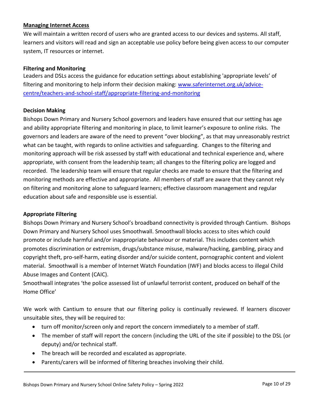# **Managing Internet Access**

We will maintain a written record of users who are granted access to our devices and systems. All staff, learners and visitors will read and sign an acceptable use policy before being given access to our computer system, IT resources or internet.

#### **Filtering and Monitoring**

Leaders and DSLs access the guidance for education settings about establishing 'appropriate levels' of filtering and monitoring to help inform their decision making: [www.saferinternet.org.uk/advice](file://///BDS-SR-001/michellew$/Documents/esafety/www.saferinternet.org.uk/advice-centre/teachers-and-school-staff/appropriate-filtering-and-monitoring)[centre/teachers-and-school-staff/appropriate-filtering-and-monitoring](file://///BDS-SR-001/michellew$/Documents/esafety/www.saferinternet.org.uk/advice-centre/teachers-and-school-staff/appropriate-filtering-and-monitoring)

#### **Decision Making**

Bishops Down Primary and Nursery School governors and leaders have ensured that our setting has age and ability appropriate filtering and monitoring in place, to limit learner's exposure to online risks. The governors and leaders are aware of the need to prevent "over blocking", as that may unreasonably restrict what can be taught, with regards to online activities and safeguarding. Changes to the filtering and monitoring approach will be risk assessed by staff with educational and technical experience and, where appropriate, with consent from the leadership team; all changes to the filtering policy are logged and recorded. The leadership team will ensure that regular checks are made to ensure that the filtering and monitoring methods are effective and appropriate. All members of staff are aware that they cannot rely on filtering and monitoring alone to safeguard learners; effective classroom management and regular education about safe and responsible use is essential.

#### **Appropriate Filtering**

Bishops Down Primary and Nursery School's broadband connectivity is provided through Cantium. Bishops Down Primary and Nursery School uses Smoothwall. Smoothwall blocks access to sites which could promote or include harmful and/or inappropriate behaviour or material. This includes content which promotes discrimination or extremism, drugs/substance misuse, malware/hacking, gambling, piracy and copyright theft, pro-self-harm, eating disorder and/or suicide content, pornographic content and violent material. Smoothwall is a member of Internet Watch Foundation (IWF) and blocks access to illegal Child Abuse Images and Content (CAIC).

Smoothwall integrates 'the police assessed list of unlawful terrorist content, produced on behalf of the Home Office'

We work with Cantium to ensure that our filtering policy is continually reviewed. If learners discover unsuitable sites, they will be required to:

- turn off monitor/screen only and report the concern immediately to a member of staff.
- The member of staff will report the concern (including the URL of the site if possible) to the DSL (or deputy) and/or technical staff.
- The breach will be recorded and escalated as appropriate.
- Parents/carers will be informed of filtering breaches involving their child.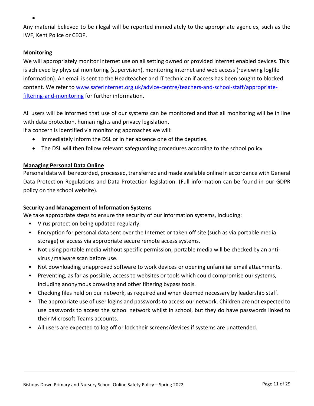Any material believed to be illegal will be reported immediately to the appropriate agencies, such as the IWF, Kent Police or CEOP.

# **Monitoring**

 $\bullet$ 

We will appropriately monitor internet use on all setting owned or provided internet enabled devices. This is achieved by physical monitoring (supervision), monitoring internet and web access (reviewing logfile information). An email is sent to the Headteacher and IT technician if access has been sought to blocked content. We refer to [www.saferinternet.org.uk/advice-centre/teachers-and-school-staff/appropriate](http://www.saferinternet.org.uk/advice-centre/teachers-and-school-staff/appropriate-filtering-and-monitoring)[filtering-and-monitoring](http://www.saferinternet.org.uk/advice-centre/teachers-and-school-staff/appropriate-filtering-and-monitoring) for further information.

All users will be informed that use of our systems can be monitored and that all monitoring will be in line with data protection, human rights and privacy legislation.

If a concern is identified via monitoring approaches we will:

- Immediately inform the DSL or in her absence one of the deputies.
- The DSL will then follow relevant safeguarding procedures according to the school policy

# **Managing Personal Data Online**

Personal data will be recorded, processed, transferred and made available online in accordance with General Data Protection Regulations and Data Protection legislation. (Full information can be found in our GDPR policy on the school website).

# **Security and Management of Information Systems**

We take appropriate steps to ensure the security of our information systems, including:

- Virus protection being updated regularly.
- Encryption for personal data sent over the Internet or taken off site (such as via portable media storage) or access via appropriate secure remote access systems.
- Not using portable media without specific permission; portable media will be checked by an antivirus /malware scan before use.
- Not downloading unapproved software to work devices or opening unfamiliar email attachments.
- Preventing, as far as possible, access to websites or tools which could compromise our systems, including anonymous browsing and other filtering bypass tools.
- Checking files held on our network, as required and when deemed necessary by leadership staff.
- The appropriate use of user logins and passwords to access our network. Children are not expected to use passwords to access the school network whilst in school, but they do have passwords linked to their Microsoft Teams accounts.
- All users are expected to log off or lock their screens/devices if systems are unattended.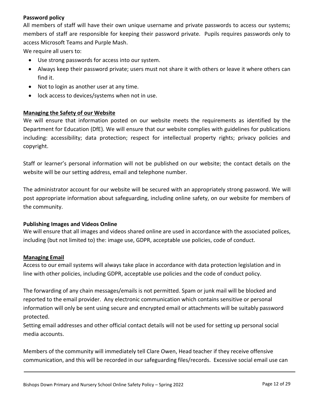#### **Password policy**

All members of staff will have their own unique username and private passwords to access our systems; members of staff are responsible for keeping their password private. Pupils requires passwords only to access Microsoft Teams and Purple Mash.

We require all users to:

- Use strong passwords for access into our system.
- Always keep their password private; users must not share it with others or leave it where others can find it.
- Not to login as another user at any time.
- lock access to devices/systems when not in use.

#### **Managing the Safety of our Website**

We will ensure that information posted on our website meets the requirements as identified by the Department for Education (DfE). We will ensure that our website complies with guidelines for publications including: accessibility; data protection; respect for intellectual property rights; privacy policies and copyright.

Staff or learner's personal information will not be published on our website; the contact details on the website will be our setting address, email and telephone number.

The administrator account for our website will be secured with an appropriately strong password. We will post appropriate information about safeguarding, including online safety, on our website for members of the community.

#### **Publishing Images and Videos Online**

We will ensure that all images and videos shared online are used in accordance with the associated polices, including (but not limited to) the: image use, GDPR, acceptable use policies, code of conduct.

#### **Managing Email**

Access to our email systems will always take place in accordance with data protection legislation and in line with other policies, including GDPR, acceptable use policies and the code of conduct policy.

The forwarding of any chain messages/emails is not permitted. Spam or junk mail will be blocked and reported to the email provider. Any electronic communication which contains sensitive or personal information will only be sent using secure and encrypted email or attachments will be suitably password protected.

Setting email addresses and other official contact details will not be used for setting up personal social media accounts.

Members of the community will immediately tell Clare Owen, Head teacher if they receive offensive communication, and this will be recorded in our safeguarding files/records. Excessive social email use can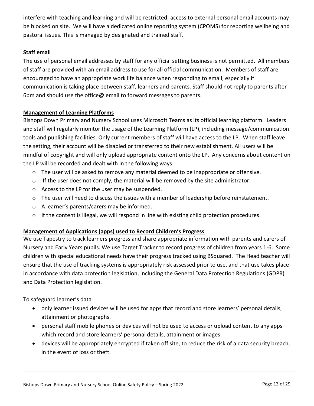interfere with teaching and learning and will be restricted; access to external personal email accounts may be blocked on site. We will have a dedicated online reporting system (CPOMS) for reporting wellbeing and pastoral issues. This is managed by designated and trained staff.

# **Staff email**

The use of personal email addresses by staff for any official setting business is not permitted. All members of staff are provided with an email address to use for all official communication. Members of staff are encouraged to have an appropriate work life balance when responding to email, especially if communication is taking place between staff, learners and parents. Staff should not reply to parents after 6pm and should use the office@ email to forward messages to parents.

# **Management of Learning Platforms**

Bishops Down Primary and Nursery School uses Microsoft Teams as its official learning platform. Leaders and staff will regularly monitor the usage of the Learning Platform (LP), including message/communication tools and publishing facilities. Only current members of staff will have access to the LP. When staff leave the setting, their account will be disabled or transferred to their new establishment. All users will be mindful of copyright and will only upload appropriate content onto the LP. Any concerns about content on the LP will be recorded and dealt with in the following ways:

- $\circ$  The user will be asked to remove any material deemed to be inappropriate or offensive.
- $\circ$  If the user does not comply, the material will be removed by the site administrator.
- o Access to the LP for the user may be suspended.
- o The user will need to discuss the issues with a member of leadership before reinstatement.
- o A learner's parents/carers may be informed.
- $\circ$  If the content is illegal, we will respond in line with existing child protection procedures.

# **Management of Applications (apps) used to Record Children's Progress**

We use Tapestry to track learners progress and share appropriate information with parents and carers of Nursery and Early Years pupils. We use Target Tracker to record progress of children from years 1-6. Some children with special educational needs have their progress tracked using BSquared. The Head teacher will ensure that the use of tracking systems is appropriately risk assessed prior to use, and that use takes place in accordance with data protection legislation, including the General Data Protection Regulations (GDPR) and Data Protection legislation.

To safeguard learner's data

- only learner issued devices will be used for apps that record and store learners' personal details, attainment or photographs.
- personal staff mobile phones or devices will not be used to access or upload content to any apps which record and store learners' personal details, attainment or images.
- devices will be appropriately encrypted if taken off site, to reduce the risk of a data security breach, in the event of loss or theft.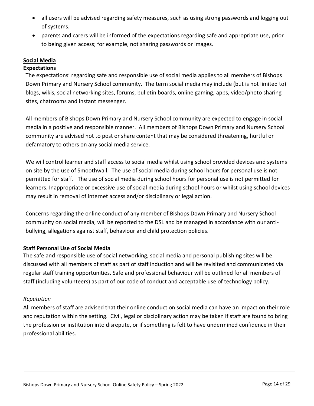- all users will be advised regarding safety measures, such as using strong passwords and logging out of systems.
- parents and carers will be informed of the expectations regarding safe and appropriate use, prior to being given access; for example, not sharing passwords or images.

# **Social Media**

#### **Expectations**

The expectations' regarding safe and responsible use of social media applies to all members of Bishops Down Primary and Nursery School community. The term social media may include (but is not limited to) blogs, wikis, social networking sites, forums, bulletin boards, online gaming, apps, video/photo sharing sites, chatrooms and instant messenger.

All members of Bishops Down Primary and Nursery School community are expected to engage in social media in a positive and responsible manner. All members of Bishops Down Primary and Nursery School community are advised not to post or share content that may be considered threatening, hurtful or defamatory to others on any social media service.

We will control learner and staff access to social media whilst using school provided devices and systems on site by the use of Smoothwall. The use of social media during school hours for personal use is not permitted for staff. The use of social media during school hours for personal use is not permitted for learners. Inappropriate or excessive use of social media during school hours or whilst using school devices may result in removal of internet access and/or disciplinary or legal action.

Concerns regarding the online conduct of any member of Bishops Down Primary and Nursery School community on social media, will be reported to the DSL and be managed in accordance with our antibullying, allegations against staff, behaviour and child protection policies.

# **Staff Personal Use of Social Media**

The safe and responsible use of social networking, social media and personal publishing sites will be discussed with all members of staff as part of staff induction and will be revisited and communicated via regular staff training opportunities. Safe and professional behaviour will be outlined for all members of staff (including volunteers) as part of our code of conduct and acceptable use of technology policy.

#### *Reputation*

All members of staff are advised that their online conduct on social media can have an impact on their role and reputation within the setting. Civil, legal or disciplinary action may be taken if staff are found to bring the profession or institution into disrepute, or if something is felt to have undermined confidence in their professional abilities.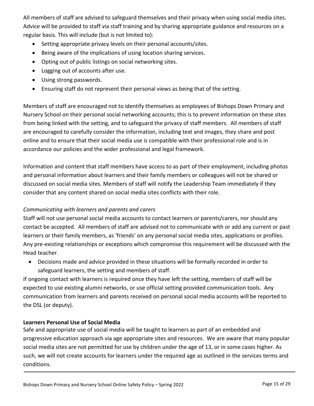All members of staff are advised to safeguard themselves and their privacy when using social media sites. Advice will be provided to staff via staff training and by sharing appropriate guidance and resources on a regular basis. This will include (but is not limited to):

- Setting appropriate privacy levels on their personal accounts/sites.
- Being aware of the implications of using location sharing services.
- Opting out of public listings on social networking sites.
- Logging out of accounts after use.
- Using strong passwords.
- Ensuring staff do not represent their personal views as being that of the setting.

Members of staff are encouraged not to identify themselves as employees of Bishops Down Primary and Nursery School on their personal social networking accounts; this is to prevent information on these sites from being linked with the setting, and to safeguard the privacy of staff members. All members of staff are encouraged to carefully consider the information, including text and images, they share and post online and to ensure that their social media use is compatible with their professional role and is in accordance our policies and the wider professional and legal framework.

Information and content that staff members have access to as part of their employment, including photos and personal information about learners and their family members or colleagues will not be shared or discussed on social media sites. Members of staff will notify the Leadership Team immediately if they consider that any content shared on social media sites conflicts with their role.

# *Communicating with learners and parents and carers*

Staff will not use personal social media accounts to contact learners or parents/carers, nor should any contact be accepted. All members of staff are advised not to communicate with or add any current or past learners or their family members, as 'friends' on any personal social media sites, applications or profiles. Any pre-existing relationships or exceptions which compromise this requirement will be discussed with the Head teacher*.*

 Decisions made and advice provided in these situations will be formally recorded in order to safeguard learners, the setting and members of staff.

If ongoing contact with learners is required once they have left the setting, members of staff will be expected to use existing alumni networks, or use official setting provided communication tools. Any communication from learners and parents received on personal social media accounts will be reported to the DSL (or deputy).

# **Learners Personal Use of Social Media**

Safe and appropriate use of social media will be taught to learners as part of an embedded and progressive education approach via age appropriate sites and resources. We are aware that many popular social media sites are not permitted for use by children under the age of 13, or in some cases higher. As such, we will not create accounts for learners under the required age as outlined in the services terms and conditions.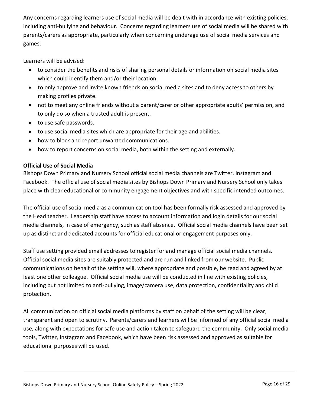Any concerns regarding learners use of social media will be dealt with in accordance with existing policies, including anti-bullying and behaviour. Concerns regarding learners use of social media will be shared with parents/carers as appropriate, particularly when concerning underage use of social media services and games.

Learners will be advised:

- to consider the benefits and risks of sharing personal details or information on social media sites which could identify them and/or their location.
- to only approve and invite known friends on social media sites and to deny access to others by making profiles private.
- not to meet any online friends without a parent/carer or other appropriate adults' permission, and to only do so when a trusted adult is present.
- to use safe passwords.
- to use social media sites which are appropriate for their age and abilities.
- how to block and report unwanted communications.
- how to report concerns on social media, both within the setting and externally.

#### **Official Use of Social Media**

Bishops Down Primary and Nursery School official social media channels are Twitter, Instagram and Facebook. The official use of social media sites by Bishops Down Primary and Nursery School only takes place with clear educational or community engagement objectives and with specific intended outcomes.

The official use of social media as a communication tool has been formally risk assessed and approved by the Head teacher. Leadership staff have access to account information and login details for our social media channels, in case of emergency, such as staff absence. Official social media channels have been set up as distinct and dedicated accounts for official educational or engagement purposes only.

Staff use setting provided email addresses to register for and manage official social media channels. Official social media sites are suitably protected and are run and linked from our website. Public communications on behalf of the setting will, where appropriate and possible, be read and agreed by at least one other colleague. Official social media use will be conducted in line with existing policies, including but not limited to anti-bullying, image/camera use, data protection, confidentiality and child protection.

All communication on official social media platforms by staff on behalf of the setting will be clear, transparent and open to scrutiny. Parents/carers and learners will be informed of any official social media use, along with expectations for safe use and action taken to safeguard the community. Only social media tools, Twitter, Instagram and Facebook, which have been risk assessed and approved as suitable for educational purposes will be used.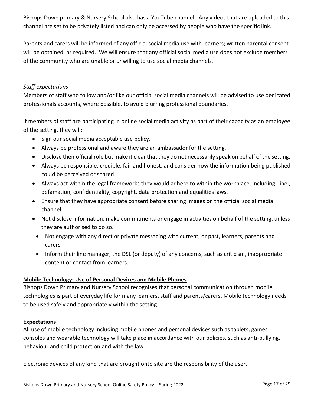Bishops Down primary & Nursery School also has a YouTube channel. Any videos that are uploaded to this channel are set to be privately listed and can only be accessed by people who have the specific link.

Parents and carers will be informed of any official social media use with learners; written parental consent will be obtained, as required. We will ensure that any official social media use does not exclude members of the community who are unable or unwilling to use social media channels.

#### *Staff expectations*

Members of staff who follow and/or like our official social media channels will be advised to use dedicated professionals accounts, where possible, to avoid blurring professional boundaries.

If members of staff are participating in online social media activity as part of their capacity as an employee of the setting, they will:

- Sign our social media acceptable use policy.
- Always be professional and aware they are an ambassador for the setting.
- Disclose their official role but make it clear that they do not necessarily speak on behalf of the setting.
- Always be responsible, credible, fair and honest, and consider how the information being published could be perceived or shared.
- Always act within the legal frameworks they would adhere to within the workplace, including: libel, defamation, confidentiality, copyright, data protection and equalities laws.
- Ensure that they have appropriate consent before sharing images on the official social media channel.
- Not disclose information, make commitments or engage in activities on behalf of the setting, unless they are authorised to do so.
- Not engage with any direct or private messaging with current, or past, learners, parents and carers.
- Inform their line manager, the DSL (or deputy) of any concerns, such as criticism, inappropriate content or contact from learners.

# **Mobile Technology: Use of Personal Devices and Mobile Phones**

Bishops Down Primary and Nursery School recognises that personal communication through mobile technologies is part of everyday life for many learners, staff and parents/carers. Mobile technology needs to be used safely and appropriately within the setting.

#### **Expectations**

All use of mobile technology including mobile phones and personal devices such as tablets, games consoles and wearable technology will take place in accordance with our policies, such as anti-bullying, behaviour and child protection and with the law.

Electronic devices of any kind that are brought onto site are the responsibility of the user.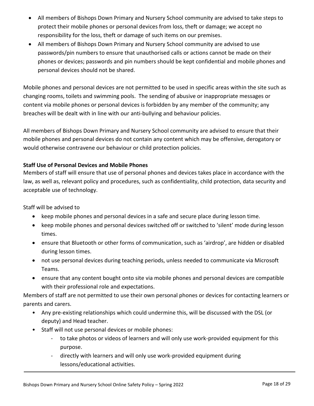- All members of Bishops Down Primary and Nursery School community are advised to take steps to protect their mobile phones or personal devices from loss, theft or damage; we accept no responsibility for the loss, theft or damage of such items on our premises.
- All members of Bishops Down Primary and Nursery School community are advised to use passwords/pin numbers to ensure that unauthorised calls or actions cannot be made on their phones or devices; passwords and pin numbers should be kept confidential and mobile phones and personal devices should not be shared.

Mobile phones and personal devices are not permitted to be used in specific areas within the site such as changing rooms, toilets and swimming pools. The sending of abusive or inappropriate messages or content via mobile phones or personal devices is forbidden by any member of the community; any breaches will be dealt with in line with our anti-bullying and behaviour policies.

All members of Bishops Down Primary and Nursery School community are advised to ensure that their mobile phones and personal devices do not contain any content which may be offensive, derogatory or would otherwise contravene our behaviour or child protection policies.

# **Staff Use of Personal Devices and Mobile Phones**

Members of staff will ensure that use of personal phones and devices takes place in accordance with the law, as well as, relevant policy and procedures, such as confidentiality, child protection, data security and acceptable use of technology.

Staff will be advised to

- keep mobile phones and personal devices in a safe and secure place during lesson time.
- keep mobile phones and personal devices switched off or switched to 'silent' mode during lesson times.
- ensure that Bluetooth or other forms of communication, such as 'airdrop', are hidden or disabled during lesson times.
- not use personal devices during teaching periods, unless needed to communicate via Microsoft Teams.
- ensure that any content bought onto site via mobile phones and personal devices are compatible with their professional role and expectations.

Members of staff are not permitted to use their own personal phones or devices for contacting learners or parents and carers.

- Any pre-existing relationships which could undermine this, will be discussed with the DSL (or deputy) and Head teacher.
- Staff will not use personal devices or mobile phones:
	- to take photos or videos of learners and will only use work-provided equipment for this purpose.
	- directly with learners and will only use work-provided equipment during lessons/educational activities.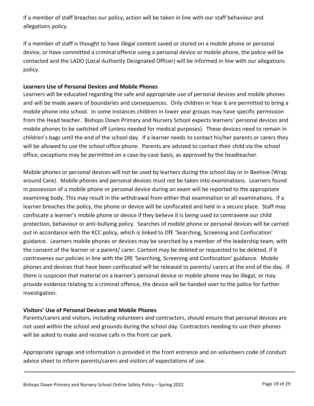If a member of staff breaches our policy, action will be taken in line with our staff behaviour and allegations policy.

If a member of staff is thought to have illegal content saved or stored on a mobile phone or personal device, or have committed a criminal offence using a personal device or mobile phone, the police will be contacted and the LADO (Local Authority Designated Officer) will be informed in line with our allegations policy.

#### **Learners Use of Personal Devices and Mobile Phones**

Learners will be educated regarding the safe and appropriate use of personal devices and mobile phones and will be made aware of boundaries and consequences. Only children in Year 6 are permitted to bring a mobile phone into school. In some instances children in lower year groups may have specific permission from the Head teacher. Bishops Down Primary and Nursery School expects learners' personal devices and mobile phones to be switched off (unless needed for medical purposes). These devices need to remain in children's bags until the end of the school day. If a learner needs to contact his/her parents or carers they will be allowed to use the school office phone. Parents are advised to contact their child via the school office; exceptions may be permitted on a case-by-case basis, as approved by the headteacher.

Mobile phones or personal devices will not be used by learners during the school day or in Beehive (Wrap around Care). Mobile phones and personal devices must not be taken into examinations. Learners found in possession of a mobile phone or personal device during an exam will be reported to the appropriate examining body. This may result in the withdrawal from either that examination or all examinations. If a learner breaches the policy, the phone or device will be confiscated and held in a secure place. Staff may confiscate a learner's mobile phone or device if they believe it is being used to contravene our child protection, behaviour or anti-bullying policy. Searches of mobile phone or personal devices will be carried out in accordance with the KCC policy, which is linked to DfE 'Searching, Screening and Confiscation' guidance. Learners mobile phones or devices may be searched by a member of the leadership team, with the consent of the learner or a parent/ carer. Content may be deleted or requested to be deleted, if it contravenes our policies in line with the DfE 'Searching, Screening and Confiscation' guidance. Mobile phones and devices that have been confiscated will be released to parents/ carers at the end of the day. If there is suspicion that material on a learner's personal device or mobile phone may be illegal, or may provide evidence relating to a criminal offence, the device will be handed over to the police for further investigation.

# **Visitors' Use of Personal Devices and Mobile Phones**

Parents/carers and visitors, including volunteers and contractors, should ensure that personal devices are not used within the school and grounds during the school day. Contractors needing to use their phones will be asked to make and receive calls in the front car park.

Appropriate signage and information is provided in the front entrance and on volunteers code of conduct advice sheet to inform parents/carers and visitors of expectations of use.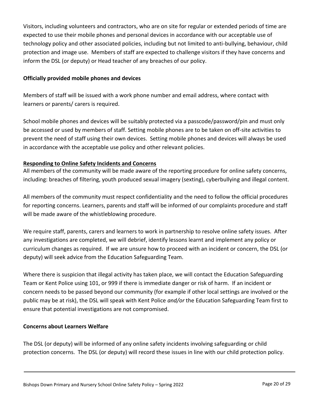Visitors, including volunteers and contractors, who are on site for regular or extended periods of time are expected to use their mobile phones and personal devices in accordance with our acceptable use of technology policy and other associated policies, including but not limited to anti-bullying, behaviour, child protection and image use. Members of staff are expected to challenge visitors if they have concerns and inform the DSL (or deputy) or Head teacher of any breaches of our policy.

#### **Officially provided mobile phones and devices**

Members of staff will be issued with a work phone number and email address, where contact with learners or parents/ carers is required.

School mobile phones and devices will be suitably protected via a passcode/password/pin and must only be accessed or used by members of staff. Setting mobile phones are to be taken on off-site activities to prevent the need of staff using their own devices. Setting mobile phones and devices will always be used in accordance with the acceptable use policy and other relevant policies.

# **Responding to Online Safety Incidents and Concerns**

All members of the community will be made aware of the reporting procedure for online safety concerns, including: breaches of filtering, youth produced sexual imagery (sexting), cyberbullying and illegal content.

All members of the community must respect confidentiality and the need to follow the official procedures for reporting concerns. Learners, parents and staff will be informed of our complaints procedure and staff will be made aware of the whistleblowing procedure.

We require staff, parents, carers and learners to work in partnership to resolve online safety issues. After any investigations are completed, we will debrief, identify lessons learnt and implement any policy or curriculum changes as required. If we are unsure how to proceed with an incident or concern, the DSL (or deputy) will seek advice from the Education Safeguarding Team.

Where there is suspicion that illegal activity has taken place, we will contact the Education Safeguarding Team or Kent Police using 101, or 999 if there is immediate danger or risk of harm. If an incident or concern needs to be passed beyond our community (for example if other local settings are involved or the public may be at risk), the DSL will speak with Kent Police *and/or* the Education Safeguarding Team first to ensure that potential investigations are not compromised.

#### **Concerns about Learners Welfare**

The DSL (or deputy) will be informed of any online safety incidents involving safeguarding or child protection concerns. The DSL (or deputy) will record these issues in line with our child protection policy.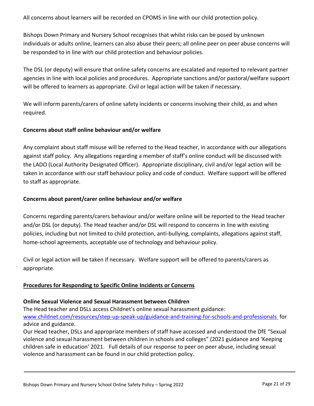All concerns about learners will be recorded on CPOMS in line with our child protection policy.

Bishops Down Primary and Nursery School recognises that whilst risks can be posed by unknown individuals or adults online, learners can also abuse their peers; all online peer on peer abuse concerns will be responded to in line with our child protection and behaviour policies.

The DSL (or deputy) will ensure that online safety concerns are escalated and reported to relevant partner agencies in line with local policies and procedures. Appropriate sanctions and/or pastoral/welfare support will be offered to learners as appropriate. Civil or legal action will be taken if necessary.

We will inform parents/carers of online safety incidents or concerns involving their child, as and when required.

# **Concerns about staff online behaviour and/or welfare**

Any complaint about staff misuse will be referred to the Head teacher, in accordance with our allegations against staff policy. Any allegations regarding a member of staff's online conduct will be discussed with the LADO (Local Authority Designated Officer). Appropriate disciplinary, civil and/or legal action will be taken in accordance with our staff behaviour policy and code of conduct. Welfare support will be offered to staff as appropriate.

#### **Concerns about parent/carer online behaviour and/or welfare**

Concerns regarding parents/carers behaviour and/or welfare online will be reported to the Head teacher and/or DSL (or deputy). The Head teacher and/or DSL will respond to concerns in line with existing policies, including but not limited to child protection, anti-bullying, complaints, allegations against staff, home-school agreements, acceptable use of technology and behaviour policy.

Civil or legal action will be taken if necessary. Welfare support will be offered to parents/carers as appropriate.

# **Procedures for Responding to Specific Online Incidents or Concerns**

#### **Online Sexual Violence and Sexual Harassment between Children**

The Head teacher and DSLs access Childnet's online sexual harassment guidance: [www.childnet.com/resources/step-up-speak-up/guidance-and-training-for-schools-and-professionals](file://///bds-sr-001/michellew$/Documents/esafety/www.childnet.com/resources/step-up-speak-up/guidance-and-training-for-schools-and-professionals) for advice and guidance.

Our Head teacher, DSLs and appropriate members of staff have accessed and understood the DfE "Sexual violence and sexual harassment between children in schools and colleges" (2021 guidance and 'Keeping children safe in education' 2021. Full details of our response to peer on peer abuse, including sexual violence and harassment can be found in our child protection policy.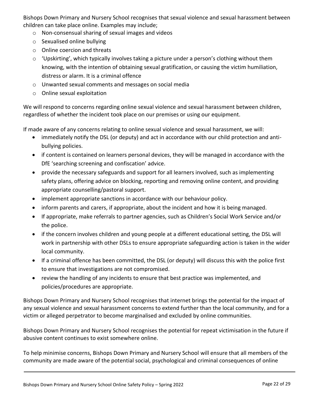Bishops Down Primary and Nursery School recognises that sexual violence and sexual harassment between children can take place online. Examples may include;

- o Non-consensual sharing of sexual images and videos
- o Sexualised online bullying
- o Online coercion and threats
- o 'Upskirting', which typically involves taking a picture under a person's clothing without them knowing, with the intention of obtaining sexual gratification, or causing the victim humiliation, distress or alarm. It is a criminal offence
- o Unwanted sexual comments and messages on social media
- o Online sexual exploitation

We will respond to concerns regarding online sexual violence and sexual harassment between children, regardless of whether the incident took place on our premises or using our equipment.

If made aware of any concerns relating to online sexual violence and sexual harassment, we will:

- immediately notify the DSL (or deputy) and act in accordance with our child protection and antibullying policies.
- if content is contained on learners personal devices, they will be managed in accordance with the DfE 'searching screening and confiscation' advice.
- provide the necessary safeguards and support for all learners involved, such as implementing safety plans, offering advice on blocking, reporting and removing online content, and providing appropriate counselling/pastoral support.
- implement appropriate sanctions in accordance with our behaviour policy.
- inform parents and carers, if appropriate, about the incident and how it is being managed.
- If appropriate, make referrals to partner agencies, such as Children's Social Work Service and/or the police.
- if the concern involves children and young people at a different educational setting, the DSL will work in partnership with other DSLs to ensure appropriate safeguarding action is taken in the wider local community.
- If a criminal offence has been committed, the DSL (or deputy) will discuss this with the police first to ensure that investigations are not compromised.
- review the handling of any incidents to ensure that best practice was implemented, and policies/procedures are appropriate.

Bishops Down Primary and Nursery School recognises that internet brings the potential for the impact of any sexual violence and sexual harassment concerns to extend further than the local community, and for a victim or alleged perpetrator to become marginalised and excluded by online communities.

Bishops Down Primary and Nursery School recognises the potential for repeat victimisation in the future if abusive content continues to exist somewhere online.

To help minimise concerns, Bishops Down Primary and Nursery School will ensure that all members of the community are made aware of the potential social, psychological and criminal consequences of online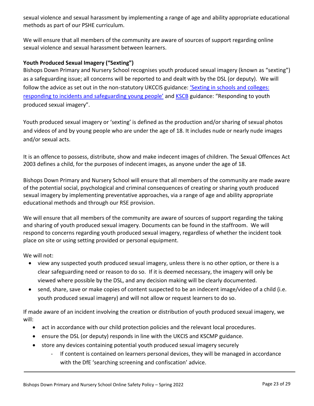sexual violence and sexual harassment by implementing a range of age and ability appropriate educational methods as part of our PSHE curriculum.

We will ensure that all members of the community are aware of sources of support regarding online sexual violence and sexual harassment between learners.

# **Youth Produced Sexual Imagery ("Sexting")**

Bishops Down Primary and Nursery School recognises youth produced sexual imagery (known as "sexting") as a safeguarding issue; all concerns will be reported to and dealt with by the DSL (or deputy). We will follow the advice as set out in the non-statutory UKCCIS guidance: '[Sexting in schools and colleges:](https://www.gov.uk/government/groups/uk-council-for-child-internet-safety-ukccis)  [responding to incidents and safeguarding young people'](https://www.gov.uk/government/groups/uk-council-for-child-internet-safety-ukccis) an[d KSCB](http://www.kscb.org.uk/guidance/online-safety) guidance: "Responding to youth produced sexual imagery".

Youth produced sexual imagery or 'sexting' is defined as the production and/or sharing of sexual photos and videos of and by young people who are under the age of 18. It includes nude or nearly nude images and/or sexual acts.

It is an offence to possess, distribute, show and make indecent images of children. The Sexual Offences Act 2003 defines a child, for the purposes of indecent images, as anyone under the age of 18.

Bishops Down Primary and Nursery School will ensure that all members of the community are made aware of the potential social, psychological and criminal consequences of creating or sharing youth produced sexual imagery by implementing preventative approaches, via a range of age and ability appropriate educational methods and through our RSE provision.

We will ensure that all members of the community are aware of sources of support regarding the taking and sharing of youth produced sexual imagery. Documents can be found in the staffroom. We will respond to concerns regarding youth produced sexual imagery, regardless of whether the incident took place on site or using setting provided or personal equipment.

We will not:

- view any suspected youth produced sexual imagery, unless there is no other option, or there is a clear safeguarding need or reason to do so. If it is deemed necessary, the imagery will only be viewed where possible by the DSL, and any decision making will be clearly documented.
- send, share, save or make copies of content suspected to be an indecent image/video of a child (i.e. youth produced sexual imagery) and will not allow or request learners to do so.

If made aware of an incident involving the creation or distribution of youth produced sexual imagery, we will:

- act in accordance with our child protection policies and the relevant local procedures.
- ensure the DSL (or deputy) responds in line with the UKCIS and KSCMP guidance.
- store any devices containing potential youth produced sexual imagery securely
	- If content is contained on learners personal devices, they will be managed in accordance with the DfE 'searching screening and confiscation' advice.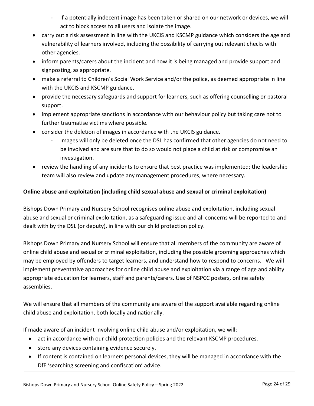- If a potentially indecent image has been taken or shared on our network or devices, we will act to block access to all users and isolate the image.
- carry out a risk assessment in line with the UKCIS and KSCMP guidance which considers the age and vulnerability of learners involved, including the possibility of carrying out relevant checks with other agencies.
- inform parents/carers about the incident and how it is being managed and provide support and signposting, as appropriate.
- make a referral to Children's Social Work Service and/or the police, as deemed appropriate in line with the UKCIS and KSCMP guidance.
- provide the necessary safeguards and support for learners, such as offering counselling or pastoral support.
- implement appropriate sanctions in accordance with our behaviour policy but taking care not to further traumatise victims where possible.
- consider the deletion of images in accordance with the UKCIS guidance.
	- Images will only be deleted once the DSL has confirmed that other agencies do not need to be involved and are sure that to do so would not place a child at risk or compromise an investigation.
- review the handling of any incidents to ensure that best practice was implemented; the leadership team will also review and update any management procedures, where necessary.

# **Online abuse and exploitation (including child sexual abuse and sexual or criminal exploitation)**

Bishops Down Primary and Nursery School recognises online abuse and exploitation, including sexual abuse and sexual or criminal exploitation, as a safeguarding issue and all concerns will be reported to and dealt with by the DSL (or deputy), in line with our child protection policy.

Bishops Down Primary and Nursery School will ensure that all members of the community are aware of online child abuse and sexual or criminal exploitation, including the possible grooming approaches which may be employed by offenders to target learners, and understand how to respond to concerns. We will implement preventative approaches for online child abuse and exploitation via a range of age and ability appropriate education for learners, staff and parents/carers. Use of NSPCC posters, online safety assemblies.

We will ensure that all members of the community are aware of the support available regarding online child abuse and exploitation, both locally and nationally.

If made aware of an incident involving online child abuse and/or exploitation, we will:

- act in accordance with our child protection policies and the relevant KSCMP procedures.
- **•** store any devices containing evidence securely.
- If content is contained on learners personal devices, they will be managed in accordance with the DfE 'searching screening and confiscation' advice.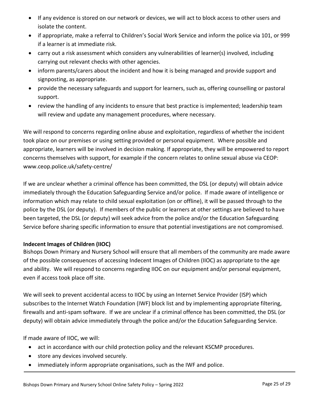- If any evidence is stored on our network or devices, we will act to block access to other users and isolate the content.
- if appropriate, make a referral to Children's Social Work Service and inform the police via 101, or 999 if a learner is at immediate risk.
- carry out a risk assessment which considers any vulnerabilities of learner(s) involved, including carrying out relevant checks with other agencies.
- inform parents/carers about the incident and how it is being managed and provide support and signposting, as appropriate.
- provide the necessary safeguards and support for learners, such as, offering counselling or pastoral support.
- review the handling of any incidents to ensure that best practice is implemented; leadership team will review and update any management procedures, where necessary.

We will respond to concerns regarding online abuse and exploitation, regardless of whether the incident took place on our premises or using setting provided or personal equipment. Where possible and appropriate, learners will be involved in decision making. If appropriate, they will be empowered to report concerns themselves with support, for example if the concern relates to online sexual abuse via CEOP: www.ceop.police.uk/safety-centre/

If we are unclear whether a criminal offence has been committed, the DSL (or deputy) will obtain advice immediately through the Education Safeguarding Service and/or police. If made aware of intelligence or information which may relate to child sexual exploitation (on or offline), it will be passed through to the police by the DSL (or deputy). If members of the public or learners at other settings are believed to have been targeted, the DSL (or deputy) will seek advice from the police and/or the Education Safeguarding Service before sharing specific information to ensure that potential investigations are not compromised.

# **Indecent Images of Children (IIOC)**

Bishops Down Primary and Nursery School will ensure that all members of the community are made aware of the possible consequences of accessing Indecent Images of Children (IIOC) as appropriate to the age and ability. We will respond to concerns regarding IIOC on our equipment and/or personal equipment, even if access took place off site.

We will seek to prevent accidental access to IIOC by using an Internet Service Provider (ISP) which subscribes to the Internet Watch Foundation (IWF) block list and by implementing appropriate filtering, firewalls and anti-spam software. If we are unclear if a criminal offence has been committed, the DSL (or deputy) will obtain advice immediately through the police and/or the Education Safeguarding Service.

If made aware of IIOC, we will:

- act in accordance with our child protection policy and the relevant KSCMP procedures.
- store any devices involved securely.
- immediately inform appropriate organisations, such as the IWF and police.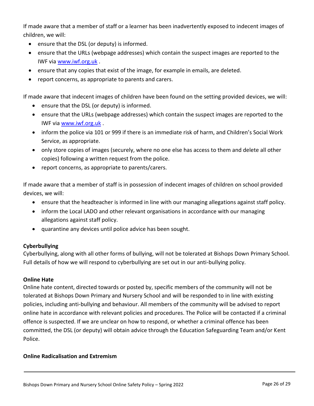If made aware that a member of staff or a learner has been inadvertently exposed to indecent images of children, we will:

- ensure that the DSL (or deputy) is informed.
- ensure that the URLs (webpage addresses) which contain the suspect images are reported to the IWF via [www.iwf.org.uk](https://www.iwf.org.uk/) .
- ensure that any copies that exist of the image, for example in emails, are deleted.
- report concerns, as appropriate to parents and carers.

If made aware that indecent images of children have been found on the setting provided devices, we will:

- ensure that the DSL (or deputy) is informed.
- ensure that the URLs (webpage addresses) which contain the suspect images are reported to the IWF via [www.iwf.org.uk](https://www.iwf.org.uk/).
- inform the police via 101 or 999 if there is an immediate risk of harm, and Children's Social Work Service, as appropriate.
- only store copies of images (securely, where no one else has access to them and delete all other copies) following a written request from the police.
- report concerns, as appropriate to parents/carers.

If made aware that a member of staff is in possession of indecent images of children on school provided devices, we will:

- ensure that the headteacher is informed in line with our managing allegations against staff policy.
- inform the Local LADO and other relevant organisations in accordance with our managing allegations against staff policy.
- quarantine any devices until police advice has been sought.

#### **Cyberbullying**

Cyberbullying, along with all other forms of bullying, will not be tolerated at Bishops Down Primary School. Full details of how we will respond to cyberbullying are set out in our anti-bullying policy.

#### **Online Hate**

Online hate content, directed towards or posted by, specific members of the community will not be tolerated at Bishops Down Primary and Nursery School and will be responded to in line with existing policies, including anti-bullying and behaviour. All members of the community will be advised to report online hate in accordance with relevant policies and procedures. The Police will be contacted if a criminal offence is suspected. If we are unclear on how to respond, or whether a criminal offence has been committed, the DSL (or deputy) will obtain advice through the Education Safeguarding Team and/or Kent Police.

#### **Online Radicalisation and Extremism**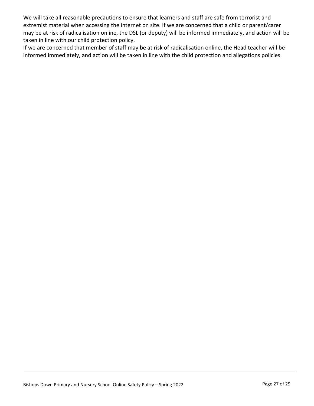We will take all reasonable precautions to ensure that learners and staff are safe from terrorist and extremist material when accessing the internet on site. If we are concerned that a child or parent/carer may be at risk of radicalisation online, the DSL (or deputy) will be informed immediately, and action will be taken in line with our child protection policy.

If we are concerned that member of staff may be at risk of radicalisation online, the Head teacher will be informed immediately, and action will be taken in line with the child protection and allegations policies.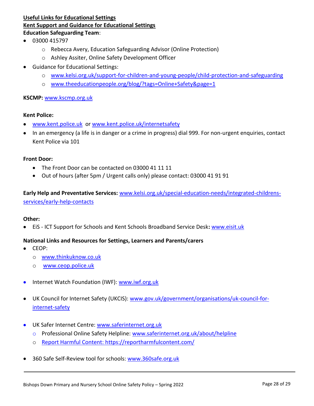# **Useful Links for Educational Settings Kent Support and Guidance for Educational Settings Education Safeguarding Team**:

- $-03000415797$ 
	- o Rebecca Avery, Education Safeguarding Advisor (Online Protection)
	- o Ashley Assiter, Online Safety Development Officer
- Guidance for Educational Settings:
	- o [www.kelsi.org.uk/support-for-children-and-young-people/child-protection-and-safeguarding](http://www.kelsi.org.uk/support-for-children-and-young-people/child-protection-and-safeguarding)
	- o [www.theeducationpeople.org/blog/?tags=Online+Safety&page=1](http://www.theeducationpeople.org/blog/?tags=Online+Safety&page=1)

#### **KSCMP:** [www.kscmp.org.uk](http://www.kscmp.org.uk/)

#### **Kent Police:**

- [www.kent.police.uk](http://www.kent.police.uk/) or [www.kent.police.uk/internetsafety](http://www.kent.police.uk/internetsafety)
- In an emergency (a life is in danger or a crime in progress) dial 999. For non-urgent enquiries, contact Kent Police via 101

#### **Front Door:**

- The Front Door can be contacted on 03000 41 11 11
- Out of hours (after 5pm / Urgent calls only) please contact: 03000 41 91 91

**Early Help and Preventative Services:** [www.kelsi.org.uk/special-education-needs/integrated-childrens](http://www.kelsi.org.uk/special-education-needs/integrated-childrens-services/early-help-contacts)[services/early-help-contacts](http://www.kelsi.org.uk/special-education-needs/integrated-childrens-services/early-help-contacts)

#### **Other:**

EiS - ICT Support for Schools and Kent Schools Broadband Service Desk**:** [www.eisit.uk](http://www.eisit.uk/)

#### **National Links and Resources for Settings, Learners and Parents/carers**

- CEOP:
	- o [www.thinkuknow.co.uk](http://www.thinkuknow.co.uk/)
	- o [www.ceop.police.uk](http://www.ceop.police.uk/)
- **•** Internet Watch Foundation (IWF): [www.iwf.org.uk](http://www.iwf.org.uk/)
- UK Council for Internet Safety (UKCIS): [www.gov.uk/government/organisations/uk-council-for](https://www.gov.uk/government/organisations/uk-council-for-internet-safety)[internet-safety](https://www.gov.uk/government/organisations/uk-council-for-internet-safety)
- UK Safer Internet Centre: [www.saferinternet.org.uk](http://www.saferinternet.org.uk/)
	- o Professional Online Safety Helpline: [www.saferinternet.org.uk/about/helpline](http://www.saferinternet.org.uk/about/helpline)
	- o Report Harmful Content:<https://reportharmfulcontent.com/>
- 360 Safe Self-Review tool for schools: [www.360safe.org.uk](http://www.360safe.org.uk/)